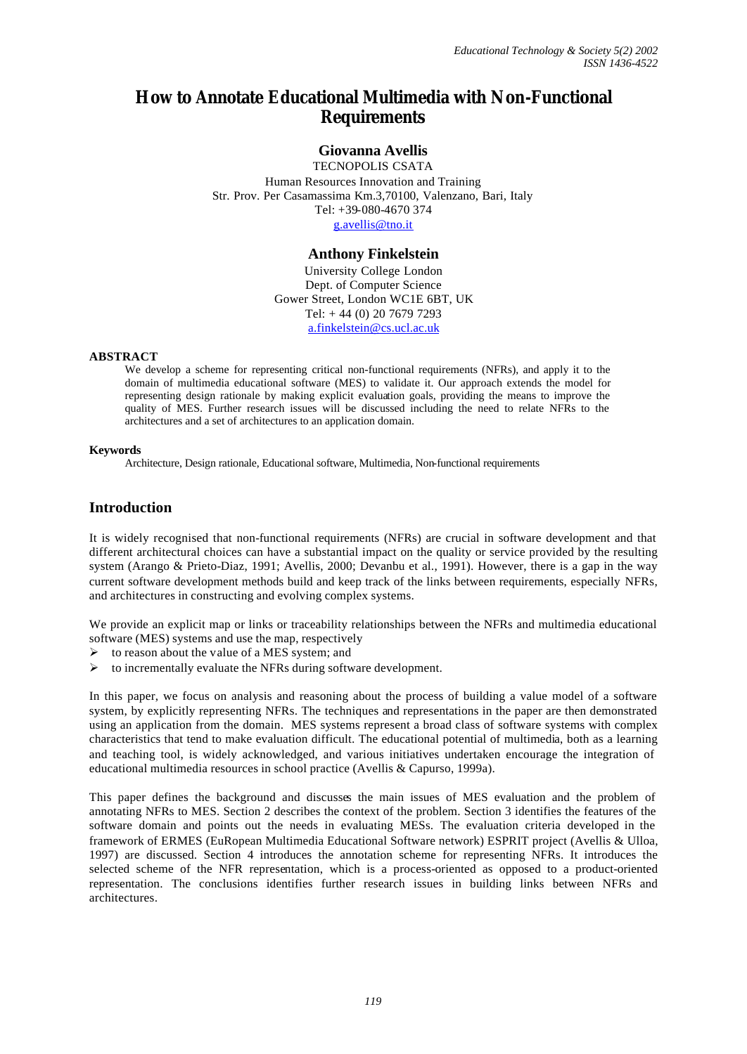# **How to Annotate Educational Multimedia with Non-Functional Requirements**

#### **Giovanna Avellis**

TECNOPOLIS CSATA Human Resources Innovation and Training Str. Prov. Per Casamassima Km.3,70100, Valenzano, Bari, Italy Tel: +39-080-4670 374 g.avellis@tno.it

#### **Anthony Finkelstein**

University College London Dept. of Computer Science Gower Street, London WC1E 6BT, UK Tel: + 44 (0) 20 7679 7293 a.finkelstein@cs.ucl.ac.uk

#### **ABSTRACT**

We develop a scheme for representing critical non-functional requirements (NFRs), and apply it to the domain of multimedia educational software (MES) to validate it. Our approach extends the model for representing design rationale by making explicit evaluation goals, providing the means to improve the quality of MES. Further research issues will be discussed including the need to relate NFRs to the architectures and a set of architectures to an application domain.

#### **Keywords**

Architecture, Design rationale, Educational software, Multimedia, Non-functional requirements

### **Introduction**

It is widely recognised that non-functional requirements (NFRs) are crucial in software development and that different architectural choices can have a substantial impact on the quality or service provided by the resulting system (Arango & Prieto-Diaz, 1991; Avellis, 2000; Devanbu et al., 1991). However, there is a gap in the way current software development methods build and keep track of the links between requirements, especially NFRs, and architectures in constructing and evolving complex systems.

We provide an explicit map or links or traceability relationships between the NFRs and multimedia educational software (MES) systems and use the map, respectively

- $\triangleright$  to reason about the value of a MES system; and
- $\triangleright$  to incrementally evaluate the NFRs during software development.

In this paper, we focus on analysis and reasoning about the process of building a value model of a software system, by explicitly representing NFRs. The techniques and representations in the paper are then demonstrated using an application from the domain. MES systems represent a broad class of software systems with complex characteristics that tend to make evaluation difficult. The educational potential of multimedia, both as a learning and teaching tool, is widely acknowledged, and various initiatives undertaken encourage the integration of educational multimedia resources in school practice (Avellis & Capurso, 1999a).

This paper defines the background and discusses the main issues of MES evaluation and the problem of annotating NFRs to MES. Section 2 describes the context of the problem. Section 3 identifies the features of the software domain and points out the needs in evaluating MESs. The evaluation criteria developed in the framework of ERMES (EuRopean Multimedia Educational Software network) ESPRIT project (Avellis & Ulloa, 1997) are discussed. Section 4 introduces the annotation scheme for representing NFRs. It introduces the selected scheme of the NFR representation, which is a process-oriented as opposed to a product-oriented representation. The conclusions identifies further research issues in building links between NFRs and architectures.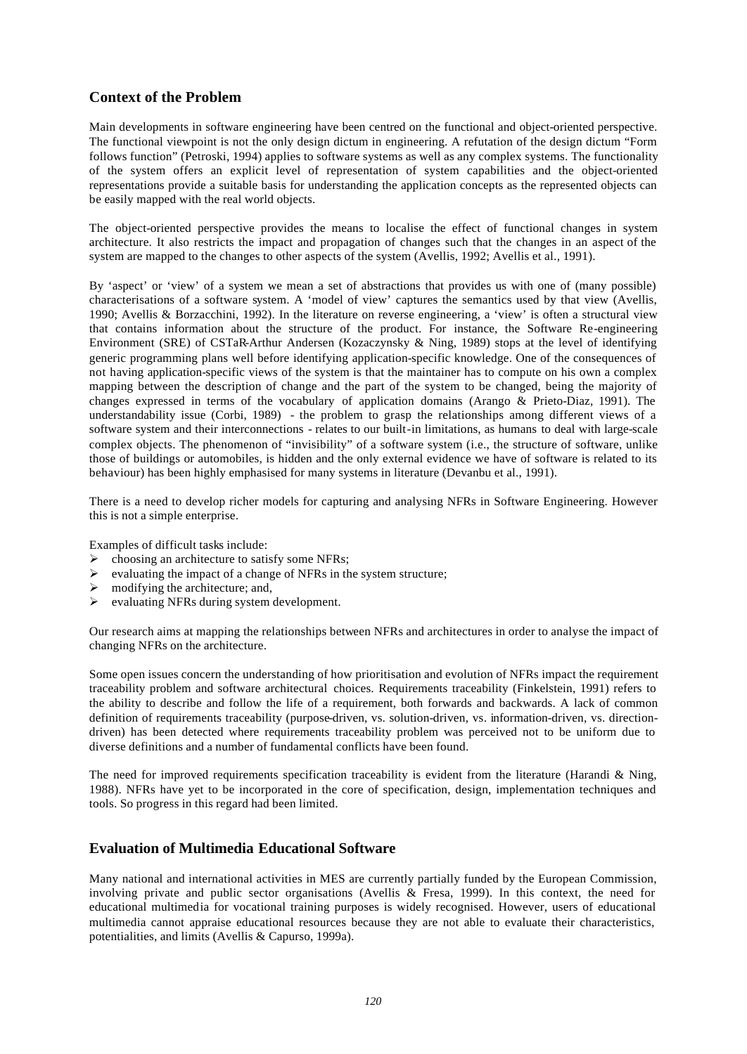## **Context of the Problem**

Main developments in software engineering have been centred on the functional and object-oriented perspective. The functional viewpoint is not the only design dictum in engineering. A refutation of the design dictum "Form follows function" (Petroski, 1994) applies to software systems as well as any complex systems. The functionality of the system offers an explicit level of representation of system capabilities and the object-oriented representations provide a suitable basis for understanding the application concepts as the represented objects can be easily mapped with the real world objects.

The object-oriented perspective provides the means to localise the effect of functional changes in system architecture. It also restricts the impact and propagation of changes such that the changes in an aspect of the system are mapped to the changes to other aspects of the system (Avellis, 1992; Avellis et al., 1991).

By 'aspect' or 'view' of a system we mean a set of abstractions that provides us with one of (many possible) characterisations of a software system. A 'model of view' captures the semantics used by that view (Avellis, 1990; Avellis & Borzacchini, 1992). In the literature on reverse engineering, a 'view' is often a structural view that contains information about the structure of the product. For instance, the Software Re-engineering Environment (SRE) of CSTaR-Arthur Andersen (Kozaczynsky & Ning, 1989) stops at the level of identifying generic programming plans well before identifying application-specific knowledge. One of the consequences of not having application-specific views of the system is that the maintainer has to compute on his own a complex mapping between the description of change and the part of the system to be changed, being the majority of changes expressed in terms of the vocabulary of application domains (Arango & Prieto-Diaz, 1991). The understandability issue (Corbi, 1989) - the problem to grasp the relationships among different views of a software system and their interconnections - relates to our built-in limitations, as humans to deal with large-scale complex objects. The phenomenon of "invisibility" of a software system (i.e., the structure of software, unlike those of buildings or automobiles, is hidden and the only external evidence we have of software is related to its behaviour) has been highly emphasised for many systems in literature (Devanbu et al., 1991).

There is a need to develop richer models for capturing and analysing NFRs in Software Engineering. However this is not a simple enterprise.

Examples of difficult tasks include:

- $\triangleright$  choosing an architecture to satisfy some NFRs;
- $\triangleright$  evaluating the impact of a change of NFRs in the system structure;
- $\triangleright$  modifying the architecture; and,
- $\triangleright$  evaluating NFRs during system development.

Our research aims at mapping the relationships between NFRs and architectures in order to analyse the impact of changing NFRs on the architecture.

Some open issues concern the understanding of how prioritisation and evolution of NFRs impact the requirement traceability problem and software architectural choices. Requirements traceability (Finkelstein, 1991) refers to the ability to describe and follow the life of a requirement, both forwards and backwards. A lack of common definition of requirements traceability (purpose-driven, vs. solution-driven, vs. information-driven, vs. directiondriven) has been detected where requirements traceability problem was perceived not to be uniform due to diverse definitions and a number of fundamental conflicts have been found.

The need for improved requirements specification traceability is evident from the literature (Harandi & Ning, 1988). NFRs have yet to be incorporated in the core of specification, design, implementation techniques and tools. So progress in this regard had been limited.

## **Evaluation of Multimedia Educational Software**

Many national and international activities in MES are currently partially funded by the European Commission, involving private and public sector organisations (Avellis & Fresa, 1999). In this context, the need for educational multimedia for vocational training purposes is widely recognised. However, users of educational multimedia cannot appraise educational resources because they are not able to evaluate their characteristics, potentialities, and limits (Avellis & Capurso, 1999a).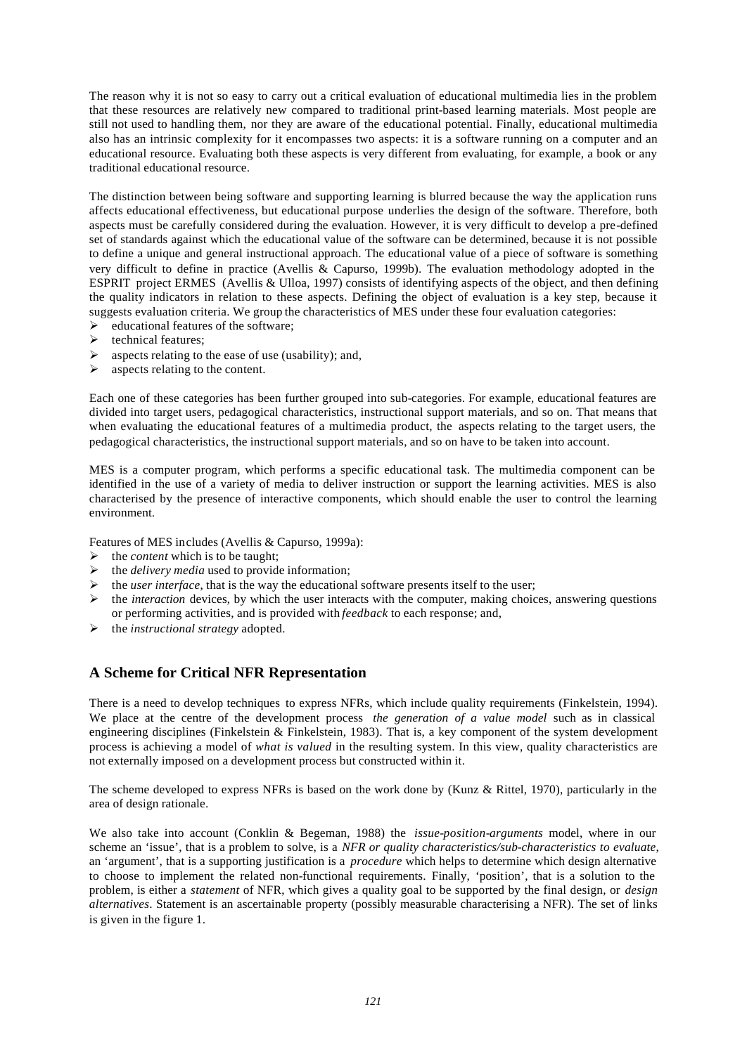The reason why it is not so easy to carry out a critical evaluation of educational multimedia lies in the problem that these resources are relatively new compared to traditional print-based learning materials. Most people are still not used to handling them, nor they are aware of the educational potential. Finally, educational multimedia also has an intrinsic complexity for it encompasses two aspects: it is a software running on a computer and an educational resource. Evaluating both these aspects is very different from evaluating, for example, a book or any traditional educational resource.

The distinction between being software and supporting learning is blurred because the way the application runs affects educational effectiveness, but educational purpose underlies the design of the software. Therefore, both aspects must be carefully considered during the evaluation. However, it is very difficult to develop a pre-defined set of standards against which the educational value of the software can be determined, because it is not possible to define a unique and general instructional approach. The educational value of a piece of software is something very difficult to define in practice (Avellis & Capurso, 1999b). The evaluation methodology adopted in the ESPRIT project ERMES (Avellis & Ulloa, 1997) consists of identifying aspects of the object, and then defining the quality indicators in relation to these aspects. Defining the object of evaluation is a key step, because it suggests evaluation criteria. We group the characteristics of MES under these four evaluation categories:

- $\triangleright$  educational features of the software:
- $\blacktriangleright$  technical features:
- $\triangleright$  aspects relating to the ease of use (usability); and,
- $\triangleright$  aspects relating to the content.

Each one of these categories has been further grouped into sub-categories. For example, educational features are divided into target users, pedagogical characteristics, instructional support materials, and so on. That means that when evaluating the educational features of a multimedia product, the aspects relating to the target users, the pedagogical characteristics, the instructional support materials, and so on have to be taken into account.

MES is a computer program, which performs a specific educational task. The multimedia component can be identified in the use of a variety of media to deliver instruction or support the learning activities. MES is also characterised by the presence of interactive components, which should enable the user to control the learning environment.

Features of MES includes (Avellis & Capurso, 1999a):

- $\triangleright$  the *content* which is to be taught;
- ÿ the *delivery media* used to provide information;
- $\triangleright$  the *user interface*, that is the way the educational software presents itself to the user;
- ÿ the *interaction* devices, by which the user interacts with the computer, making choices, answering questions or performing activities, and is provided with *feedback* to each response; and,
- ÿ the *instructional strategy* adopted.

## **A Scheme for Critical NFR Representation**

There is a need to develop techniques to express NFRs, which include quality requirements (Finkelstein, 1994). We place at the centre of the development process *the generation of a value model* such as in classical engineering disciplines (Finkelstein & Finkelstein, 1983). That is, a key component of the system development process is achieving a model of *what is valued* in the resulting system. In this view, quality characteristics are not externally imposed on a development process but constructed within it.

The scheme developed to express NFRs is based on the work done by (Kunz & Rittel, 1970), particularly in the area of design rationale.

We also take into account (Conklin & Begeman, 1988) the *issue-position-arguments* model, where in our scheme an 'issue', that is a problem to solve, is a *NFR or quality characteristics/sub-characteristics to evaluate*, an 'argument', that is a supporting justification is a *procedure* which helps to determine which design alternative to choose to implement the related non-functional requirements. Finally, 'position', that is a solution to the problem, is either a *statement* of NFR, which gives a quality goal to be supported by the final design, or *design alternatives*. Statement is an ascertainable property (possibly measurable characterising a NFR). The set of links is given in the figure 1.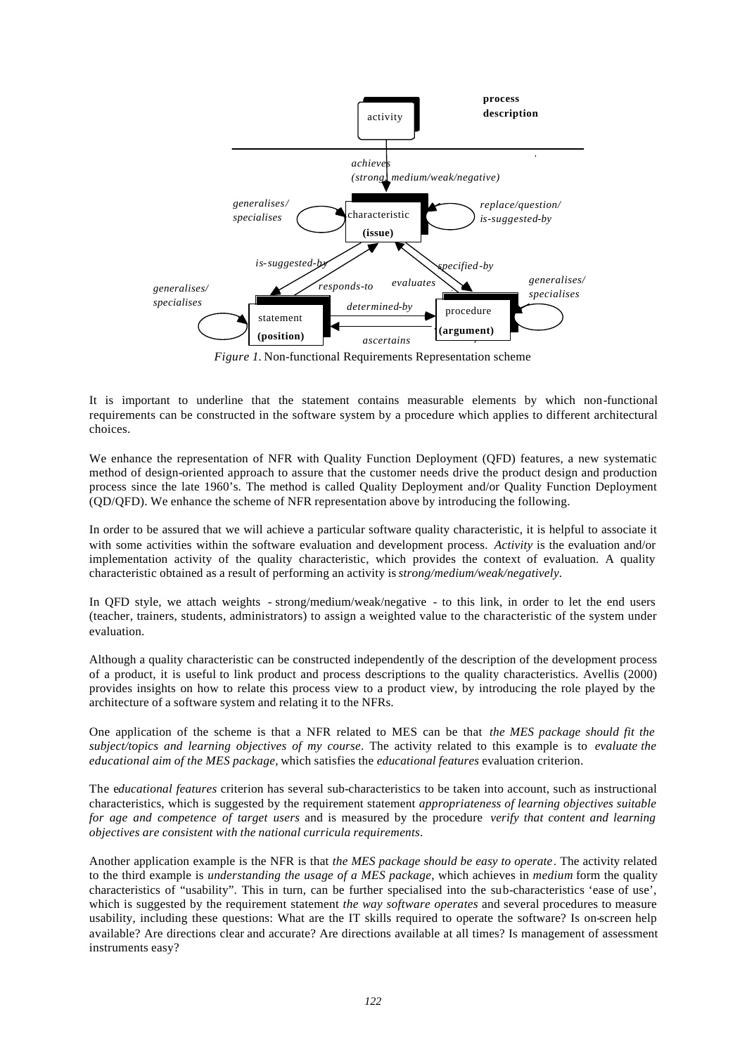

*Figure 1.* Non-functional Requirements Representation scheme

It is important to underline that the statement contains measurable elements by which non-functional requirements can be constructed in the software system by a procedure which applies to different architectural choices.

We enhance the representation of NFR with Quality Function Deployment (QFD) features, a new systematic method of design-oriented approach to assure that the customer needs drive the product design and production process since the late 1960's. The method is called Quality Deployment and/or Quality Function Deployment (QD/QFD). We enhance the scheme of NFR representation above by introducing the following.

In order to be assured that we will achieve a particular software quality characteristic, it is helpful to associate it with some activities within the software evaluation and development process. *Activity* is the evaluation and/or implementation activity of the quality characteristic, which provides the context of evaluation. A quality characteristic obtained as a result of performing an activity is *strong/medium/weak/negatively*.

In QFD style, we attach weights - strong/medium/weak/negative - to this link, in order to let the end users (teacher, trainers, students, administrators) to assign a weighted value to the characteristic of the system under evaluation.

Although a quality characteristic can be constructed independently of the description of the development process of a product, it is useful to link product and process descriptions to the quality characteristics. Avellis (2000) provides insights on how to relate this process view to a product view, by introducing the role played by the architecture of a software system and relating it to the NFRs.

One application of the scheme is that a NFR related to MES can be that *the MES package should fit the subject/topics and learning objectives of my course*. The activity related to this example is to *evaluate the educational aim of the MES package*, which satisfies the *educational features* evaluation criterion.

The e*ducational features* criterion has several sub-characteristics to be taken into account, such as instructional characteristics, which is suggested by the requirement statement *appropriateness of learning objectives suitable for age and competence of target users* and is measured by the procedure *verify that content and learning objectives are consistent with the national curricula requirements*.

Another application example is the NFR is that *the MES package should be easy to operate*. The activity related to the third example is *understanding the usage of a MES package*, which achieves in *medium* form the quality characteristics of "usability". This in turn, can be further specialised into the sub-characteristics 'ease of use', which is suggested by the requirement statement *the way software operates* and several procedures to measure usability, including these questions: What are the IT skills required to operate the software? Is on-screen help available? Are directions clear and accurate? Are directions available at all times? Is management of assessment instruments easy?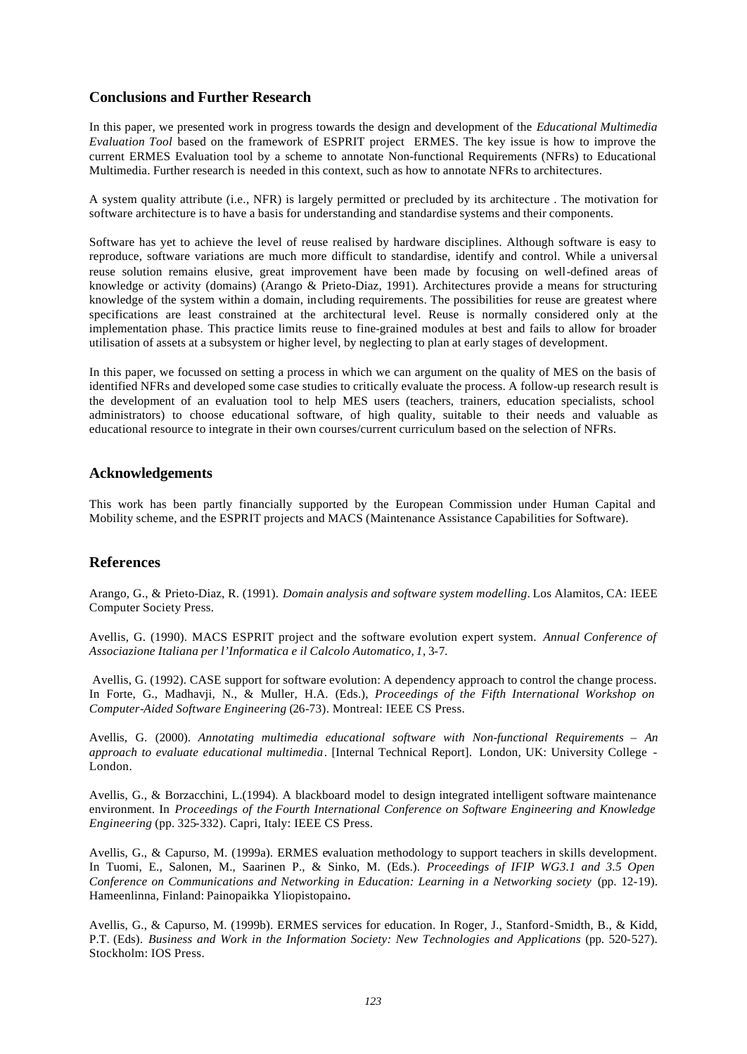## **Conclusions and Further Research**

In this paper, we presented work in progress towards the design and development of the *Educational Multimedia Evaluation Tool* based on the framework of ESPRIT project ERMES. The key issue is how to improve the current ERMES Evaluation tool by a scheme to annotate Non-functional Requirements (NFRs) to Educational Multimedia. Further research is needed in this context, such as how to annotate NFRs to architectures.

A system quality attribute (i.e., NFR) is largely permitted or precluded by its architecture . The motivation for software architecture is to have a basis for understanding and standardise systems and their components.

Software has yet to achieve the level of reuse realised by hardware disciplines. Although software is easy to reproduce, software variations are much more difficult to standardise, identify and control. While a universal reuse solution remains elusive, great improvement have been made by focusing on well-defined areas of knowledge or activity (domains) (Arango & Prieto-Diaz, 1991). Architectures provide a means for structuring knowledge of the system within a domain, including requirements. The possibilities for reuse are greatest where specifications are least constrained at the architectural level. Reuse is normally considered only at the implementation phase. This practice limits reuse to fine-grained modules at best and fails to allow for broader utilisation of assets at a subsystem or higher level, by neglecting to plan at early stages of development.

In this paper, we focussed on setting a process in which we can argument on the quality of MES on the basis of identified NFRs and developed some case studies to critically evaluate the process. A follow-up research result is the development of an evaluation tool to help MES users (teachers, trainers, education specialists, school administrators) to choose educational software, of high quality, suitable to their needs and valuable as educational resource to integrate in their own courses/current curriculum based on the selection of NFRs.

#### **Acknowledgements**

This work has been partly financially supported by the European Commission under Human Capital and Mobility scheme, and the ESPRIT projects and MACS (Maintenance Assistance Capabilities for Software).

## **References**

Arango, G., & Prieto-Diaz, R. (1991). *Domain analysis and software system modelling*. Los Alamitos, CA: IEEE Computer Society Press.

Avellis, G. (1990). MACS ESPRIT project and the software evolution expert system. *Annual Conference of Associazione Italiana per l'Informatica e il Calcolo Automatico, 1*, 3-7.

 Avellis, G. (1992). CASE support for software evolution: A dependency approach to control the change process. In Forte, G., Madhavji, N., & Muller, H.A. (Eds.), *Proceedings of the Fifth International Workshop on Computer-Aided Software Engineering* (26-73). Montreal: IEEE CS Press.

Avellis, G. (2000). *Annotating multimedia educational software with Non-functional Requirements – An approach to evaluate educational multimedia*. [Internal Technical Report]. London, UK: University College - London.

Avellis, G., & Borzacchini, L.(1994). A blackboard model to design integrated intelligent software maintenance environment. In *Proceedings of the Fourth International Conference on Software Engineering and Knowledge Engineering* (pp. 325-332). Capri, Italy: IEEE CS Press.

Avellis, G., & Capurso, M. (1999a). ERMES evaluation methodology to support teachers in skills development. In Tuomi, E., Salonen, M., Saarinen P., & Sinko, M. (Eds.). *Proceedings of IFIP WG3.1 and 3.5 Open Conference on Communications and Networking in Education: Learning in a Networking society (pp. 12-19).* Hameenlinna, Finland: Painopaikka Yliopistopaino**.**

Avellis, G., & Capurso, M. (1999b). ERMES services for education. In Roger, J., Stanford-Smidth, B., & Kidd, P.T. (Eds). *Business and Work in the Information Society: New Technologies and Applications* (pp. 520-527). Stockholm: IOS Press.